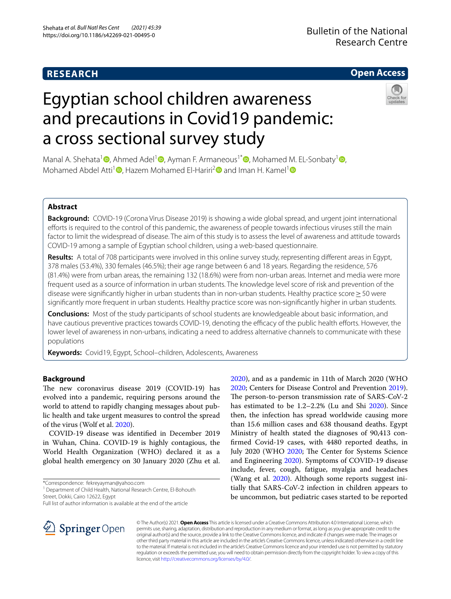# **RESEARCH**

# **Open Access**

# Egyptian school children awareness and precautions in Covid19 pandemic: a cross sectional survey study



Manal A. Shehata<sup>[1](http://orcid.org/0000-0003-2590-8392)</sup> [,](http://orcid.org/0000-0002-9127-4415) Ahmed Adel<sup>1</sup> [,](http://orcid.org/0000-0002-9970-4758) Ayman F. Armaneous<sup>1\*</sup>  $\Phi$ , Mohamed M. EL-Sonbaty<sup>1</sup>  $\Phi$ , Mohamed Abdel Atti<sup>[1](http://orcid.org/0000-0003-3859-8143)</sup>  $\bullet$ , Hazem Mohamed El-Hariri<sup>2</sup> and Iman H. Kamel<sup>1</sup>  $\bullet$ 

# **Abstract**

**Background:** COVID-19 (Corona Virus Disease 2019) is showing a wide global spread, and urgent joint international efforts is required to the control of this pandemic, the awareness of people towards infectious viruses still the main factor to limit the widespread of disease. The aim of this study is to assess the level of awareness and attitude towards COVID-19 among a sample of Egyptian school children, using a web-based questionnaire.

**Results:** A total of 708 participants were involved in this online survey study, representing diferent areas in Egypt, 378 males (53.4%), 330 females (46.5%); their age range between 6 and 18 years. Regarding the residence, 576 (81.4%) were from urban areas, the remaining 132 (18.6%) were from non-urban areas. Internet and media were more frequent used as a source of information in urban students. The knowledge level score of risk and prevention of the disease were significantly higher in urban students than in non-urban students. Healthy practice score ≥ 50 were signifcantly more frequent in urban students. Healthy practice score was non-signifcantly higher in urban students.

**Conclusions:** Most of the study participants of school students are knowledgeable about basic information, and have cautious preventive practices towards COVID-19, denoting the efficacy of the public health efforts. However, the lower level of awareness in non-urbans, indicating a need to address alternative channels to communicate with these populations

**Keywords:** Covid19, Egypt, School–children, Adolescents, Awareness

# **Background**

The new coronavirus disease 2019 (COVID-19) has evolved into a pandemic, requiring persons around the world to attend to rapidly changing messages about public health and take urgent measures to control the spread of the virus (Wolf et al. [2020](#page-6-0)).

COVID-19 disease was identifed in December 2019 in Wuhan, China. COVID-19 is highly contagious, the World Health Organization (WHO) declared it as a global health emergency on 30 January 2020 (Zhu et al.

\*Correspondence: fekreyayman@yahoo.com

<sup>1</sup> Department of Child Health, National Research Centre, El-Bohouth Street, Dokki, Cairo 12622, Egypt

Full list of author information is available at the end of the article

[2020](#page-6-2); Centers for Disease Control and Prevention [2019](#page-6-3)). The person-to-person transmission rate of SARS-CoV-2 has estimated to be 1.2–2.2% (Lu and Shi [2020](#page-6-4)). Since then, the infection has spread worldwide causing more than 15.6 million cases and 638 thousand deaths. Egypt Ministry of health stated the diagnoses of 90,413 confrmed Covid-19 cases, with 4480 reported deaths, in July [2020](#page-6-2) (WHO 2020; The Center for Systems Science and Engineering [2020](#page-6-5)). Symptoms of COVID-19 disease include, fever, cough, fatigue, myalgia and headaches (Wang et al. [2020\)](#page-6-6). Although some reports suggest initially that SARS-CoV-2 infection in children appears to be uncommon, but pediatric cases started to be reported

[2020](#page-6-1)), and as a pandemic in 11th of March 2020 (WHO



© The Author(s) 2021. **Open Access** This article is licensed under a Creative Commons Attribution 4.0 International License, which permits use, sharing, adaptation, distribution and reproduction in any medium or format, as long as you give appropriate credit to the original author(s) and the source, provide a link to the Creative Commons licence, and indicate if changes were made. The images or other third party material in this article are included in the article's Creative Commons licence, unless indicated otherwise in a credit line to the material. If material is not included in the article's Creative Commons licence and your intended use is not permitted by statutory regulation or exceeds the permitted use, you will need to obtain permission directly from the copyright holder. To view a copy of this licence, visit [http://creativecommons.org/licenses/by/4.0/.](http://creativecommons.org/licenses/by/4.0/)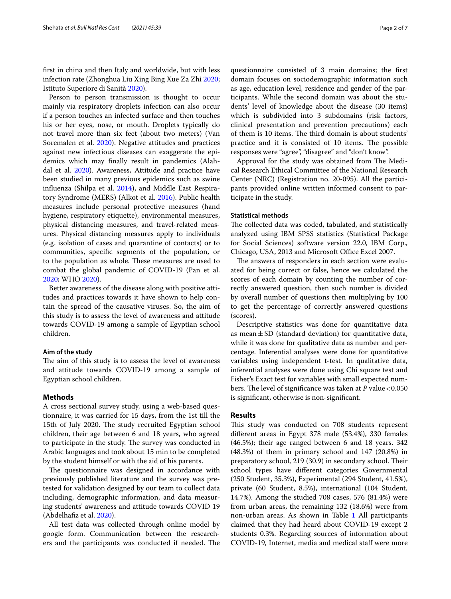frst in china and then Italy and worldwide, but with less infection rate (Zhonghua Liu Xing Bing Xue Za Zhi [2020](#page-6-7); Istituto Superiore di Sanità [2020\)](#page-6-8).

Person to person transmission is thought to occur mainly via respiratory droplets infection can also occur if a person touches an infected surface and then touches his or her eyes, nose, or mouth. Droplets typically do not travel more than six feet (about two meters) (Van Soremalen et al. [2020\)](#page-6-9). Negative attitudes and practices against new infectious diseases can exaggerate the epidemics which may fnally result in pandemics (Alah-dal et al. [2020\)](#page-6-10). Awareness, Attitude and practice have been studied in many previous epidemics such as swine infuenza (Shilpa et al. [2014](#page-6-11)), and Middle East Respiratory Syndrome (MERS) (Alkot et al. [2016](#page-6-12)). Public health measures include personal protective measures (hand hygiene, respiratory etiquette), environmental measures, physical distancing measures, and travel-related measures. Physical distancing measures apply to individuals (e.g. isolation of cases and quarantine of contacts) or to communities, specifc segments of the population, or to the population as whole. These measures are used to combat the global pandemic of COVID-19 (Pan et al. [2020](#page-6-13); WHO [2020](#page-6-14)).

Better awareness of the disease along with positive attitudes and practices towards it have shown to help contain the spread of the causative viruses. So, the aim of this study is to assess the level of awareness and attitude towards COVID-19 among a sample of Egyptian school children.

## **Aim of the study**

The aim of this study is to assess the level of awareness and attitude towards COVID-19 among a sample of Egyptian school children.

# **Methods**

A cross sectional survey study, using a web-based questionnaire, it was carried for 15 days, from the 1st till the 15th of July 2020. The study recruited Egyptian school children, their age between 6 and 18 years, who agreed to participate in the study. The survey was conducted in Arabic languages and took about 15 min to be completed by the student himself or with the aid of his parents.

The questionnaire was designed in accordance with previously published literature and the survey was pretested for validation designed by our team to collect data including, demographic information, and data measuring students' awareness and attitude towards COVID 19 (Abdelhafiz et al. [2020\)](#page-6-15).

All test data was collected through online model by google form. Communication between the researchers and the participants was conducted if needed. The

questionnaire consisted of 3 main domains; the frst domain focuses on sociodemographic information such as age, education level, residence and gender of the participants. While the second domain was about the students' level of knowledge about the disease (30 items) which is subdivided into 3 subdomains (risk factors, clinical presentation and prevention precautions) each of them is 10 items. The third domain is about students' practice and it is consisted of 10 items. The possible responses were "agree", "disagree" and "don't know".

Approval for the study was obtained from The Medical Research Ethical Committee of the National Research Center (NRC) (Registration no. 20-095). All the participants provided online written informed consent to participate in the study.

# **Statistical methods**

The collected data was coded, tabulated, and statistically analyzed using IBM SPSS statistics (Statistical Package for Social Sciences) software version 22.0, IBM Corp., Chicago, USA, 2013 and Microsoft Office Excel 2007.

The answers of responders in each section were evaluated for being correct or false, hence we calculated the scores of each domain by counting the number of correctly answered question, then such number is divided by overall number of questions then multiplying by 100 to get the percentage of correctly answered questions (scores).

Descriptive statistics was done for quantitative data as mean $\pm$ SD (standard deviation) for quantitative data, while it was done for qualitative data as number and percentage. Inferential analyses were done for quantitative variables using independent t-test. In qualitative data, inferential analyses were done using Chi square test and Fisher's Exact test for variables with small expected numbers. The level of significance was taken at *P* value <0.050 is signifcant, otherwise is non-signifcant.

## **Results**

This study was conducted on 708 students represent diferent areas in Egypt 378 male (53.4%), 330 females (46.5%); their age ranged between 6 and 18 years. 342 (48.3%) of them in primary school and 147 (20.8%) in preparatory school, 219 (30.9) in secondary school. Their school types have diferent categories Governmental (250 Student, 35.3%), Experimental (294 Student, 41.5%), private (60 Student, 8.5%), international (104 Student, 14.7%). Among the studied 708 cases, 576 (81.4%) were from urban areas, the remaining 132 (18.6%) were from non-urban areas. As shown in Table [1](#page-2-0) All participants claimed that they had heard about COVID-19 except 2 students 0.3%. Regarding sources of information about COVID-19, Internet, media and medical staf were more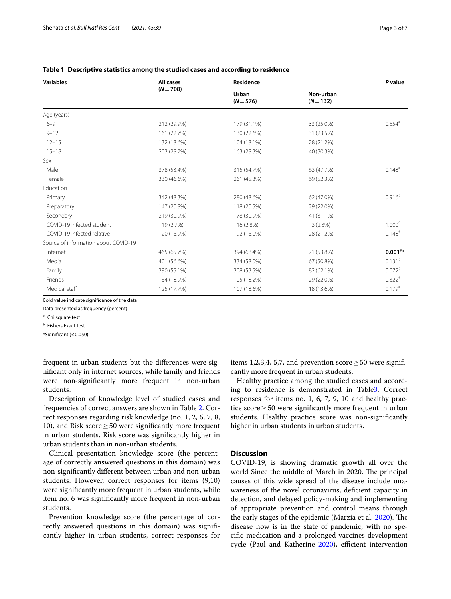| <b>Variables</b>                     | All cases   | Residence            | P value                  |                      |  |
|--------------------------------------|-------------|----------------------|--------------------------|----------------------|--|
|                                      | $(N = 708)$ | Urban<br>$(N = 576)$ | Non-urban<br>$(N = 132)$ |                      |  |
| Age (years)                          |             |                      |                          |                      |  |
| $6 - 9$                              | 212 (29.9%) | 179 (31.1%)          | 33 (25.0%)               | $0.554$ <sup>#</sup> |  |
| $9 - 12$                             | 161 (22.7%) | 130 (22.6%)          | 31 (23.5%)               |                      |  |
| $12 - 15$                            | 132 (18.6%) | 104 (18.1%)          | 28 (21.2%)               |                      |  |
| $15 - 18$                            | 203 (28.7%) | 163 (28.3%)          | 40 (30.3%)               |                      |  |
| Sex                                  |             |                      |                          |                      |  |
| Male                                 | 378 (53.4%) | 315 (54.7%)          | 63 (47.7%)               | $0.148$ <sup>#</sup> |  |
| Female                               | 330 (46.6%) | 261 (45.3%)          | 69 (52.3%)               |                      |  |
| Education                            |             |                      |                          |                      |  |
| Primary                              | 342 (48.3%) | 280 (48.6%)          | 62 (47.0%)               | $0.916$ <sup>#</sup> |  |
| Preparatory                          | 147 (20.8%) | 118 (20.5%)          | 29 (22.0%)               |                      |  |
| Secondary                            | 219 (30.9%) | 178 (30.9%)          | 41 (31.1%)               |                      |  |
| COVID-19 infected student            | 19 (2.7%)   | 16 (2.8%)            | 3(2.3%)                  | 1.000 <sup>5</sup>   |  |
| COVID-19 infected relative           | 120 (16.9%) | 92 (16.0%)           | 28 (21.2%)               | $0.148$ <sup>#</sup> |  |
| Source of information about COVID-19 |             |                      |                          |                      |  |
| Internet                             | 465 (65.7%) | 394 (68.4%)          | 71 (53.8%)               | $0.001**$            |  |
| Media                                | 401 (56.6%) | 334 (58.0%)          | 67 (50.8%)               | $0.131$ <sup>#</sup> |  |
| Family                               | 390 (55.1%) | 308 (53.5%)          | 82 (62.1%)               | $0.072$ <sup>#</sup> |  |
| Friends                              | 134 (18.9%) | 105 (18.2%)          | 29 (22.0%)               | $0.322*$             |  |
| Medical staff                        | 125 (17.7%) | 107 (18.6%)          | 18 (13.6%)               | $0.179$ <sup>#</sup> |  |

<span id="page-2-0"></span>

|  | Table 1   Descriptive statistics among the studied cases and according to residence |  |  |  |
|--|-------------------------------------------------------------------------------------|--|--|--|
|--|-------------------------------------------------------------------------------------|--|--|--|

Bold value indicate signifcance of the data

Data presented as frequency (percent)

# Chi square test

§ Fishers Exact test

 $*$ Significant (<0.050)

frequent in urban students but the diferences were signifcant only in internet sources, while family and friends were non-signifcantly more frequent in non-urban students.

Description of knowledge level of studied cases and frequencies of correct answers are shown in Table [2](#page-3-0). Correct responses regarding risk knowledge (no. 1, 2, 6, 7, 8, 10), and Risk score  $\geq$  50 were significantly more frequent in urban students. Risk score was signifcantly higher in urban students than in non-urban students.

Clinical presentation knowledge score (the percentage of correctly answered questions in this domain) was non-signifcantly diferent between urban and non-urban students. However, correct responses for items (9,10) were signifcantly more frequent in urban students, while item no. 6 was signifcantly more frequent in non-urban students.

Prevention knowledge score (the percentage of correctly answered questions in this domain) was signifcantly higher in urban students, correct responses for items 1,2,3,4, 5,7, and prevention score  $\geq$  50 were significantly more frequent in urban students.

Healthy practice among the studied cases and according to residence is demonstrated in Table[3.](#page-4-0) Correct responses for items no. 1, 6, 7, 9, 10 and healthy practice score≥50 were signifcantly more frequent in urban students. Healthy practice score was non-signifcantly higher in urban students in urban students.

# **Discussion**

COVID-19, is showing dramatic growth all over the world Since the middle of March in 2020. The principal causes of this wide spread of the disease include unawareness of the novel coronavirus, deficient capacity in detection, and delayed policy-making and implementing of appropriate prevention and control means through the early stages of the epidemic (Marzia et al. [2020\)](#page-6-16). The disease now is in the state of pandemic, with no specifc medication and a prolonged vaccines development cycle (Paul and Katherine [2020](#page-6-17)), efficient intervention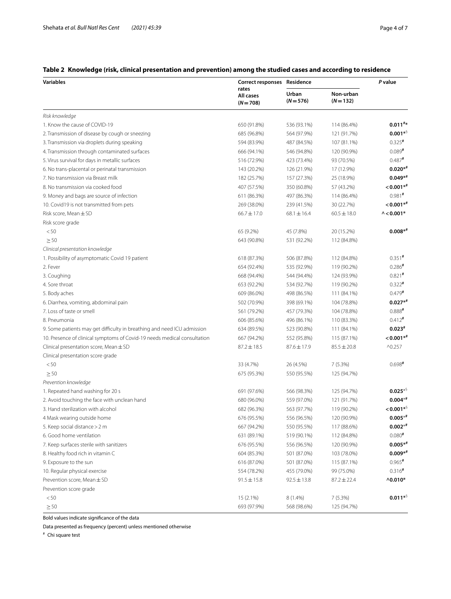# <span id="page-3-0"></span>**Table 2 Knowledge (risk, clinical presentation and prevention) among the studied cases and according to residence**

| <b>Variables</b>                                                         | Correct responses Residence<br>rates<br>All cases<br>$(N = 708)$ |                      |                        | P value               |
|--------------------------------------------------------------------------|------------------------------------------------------------------|----------------------|------------------------|-----------------------|
|                                                                          |                                                                  | Urban<br>$(N = 576)$ | Non-urban<br>$(N=132)$ |                       |
| Risk knowledge                                                           |                                                                  |                      |                        |                       |
| 1. Know the cause of COVID-19                                            | 650 (91.8%)                                                      | 536 (93.1%)          | 114 (86.4%)            | $0.011**$             |
| 2. Transmission of disease by cough or sneezing                          | 685 (96.8%)                                                      | 564 (97.9%)          | 121 (91.7%)            | $0.001**$             |
| 3. Transmission via droplets during speaking                             | 594 (83.9%)                                                      | 487 (84.5%)          | 107 (81.1%)            | $0.325$ #             |
| 4. Transmission through contaminated surfaces                            | 666 (94.1%)                                                      | 546 (94.8%)          | 120 (90.9%)            | $0.089$ <sup>#</sup>  |
| 5. Virus survival for days in metallic surfaces                          | 516 (72.9%)                                                      | 423 (73.4%)          | 93 (70.5%)             | $0.487$ <sup>#</sup>  |
| 6. No trans-placental or perinatal transmission                          | 143 (20.2%)                                                      | 126 (21.9%)          | 17 (12.9%)             | $0.020**$             |
| 7. No transmission via Breast milk                                       | 182 (25.7%)                                                      | 157 (27.3%)          | 25 (18.9%)             | $0.049**$             |
| 8. No transmission via cooked food                                       | 407 (57.5%)                                                      | 350 (60.8%)          | 57 (43.2%)             | $0.001**$             |
| 9. Money and bags are source of infection                                | 611 (86.3%)                                                      | 497 (86.3%)          | 114 (86.4%)            | $0.981$ <sup>#</sup>  |
| 10. Covid19 is not transmitted from pets                                 | 269 (38.0%)                                                      | 239 (41.5%)          | 30 (22.7%)             | $0.001**$             |
| Risk score, Mean ± SD                                                    | $66.7 \pm 17.0$                                                  | $68.1 \pm 16.4$      | $60.5 \pm 18.0$        | $\wedge$ < 0.001*     |
| Risk score grade                                                         |                                                                  |                      |                        |                       |
| < 50                                                                     | 65 (9.2%)                                                        | 45 (7.8%)            | 20 (15.2%)             | $0.008**$             |
| $\geq 50$                                                                | 643 (90.8%)                                                      | 531 (92.2%)          | 112 (84.8%)            |                       |
| Clinical presentation knowledge                                          |                                                                  |                      |                        |                       |
| 1. Possibility of asymptomatic Covid 19 patient                          | 618 (87.3%)                                                      | 506 (87.8%)          | 112 (84.8%)            | $0.351$ <sup>#</sup>  |
| 2. Fever                                                                 | 654 (92.4%)                                                      | 535 (92.9%)          | 119 (90.2%)            | $0.286$ <sup>#</sup>  |
| 3. Coughing                                                              | 668 (94.4%)                                                      | 544 (94.4%)          | 124 (93.9%)            | $0.821$ <sup>#</sup>  |
| 4. Sore throat                                                           | 653 (92.2%)                                                      | 534 (92.7%)          | 119 (90.2%)            | $0.322*$              |
| 5. Body aches                                                            | 609 (86.0%)                                                      | 498 (86.5%)          | 111 (84.1%)            | $0.479*$              |
| 6. Diarrhea, vomiting, abdominal pain                                    | 502 (70.9%)                                                      | 398 (69.1%)          | 104 (78.8%)            | $0.027**$             |
| 7. Loss of taste or smell                                                | 561 (79.2%)                                                      | 457 (79.3%)          | 104 (78.8%)            | $0.888$ <sup>#</sup>  |
| 8. Pneumonia                                                             | 606 (85.6%)                                                      | 496 (86.1%)          | 110 (83.3%)            | $0.412$ <sup>#</sup>  |
| 9. Some patients may get difficulty in breathing and need ICU admission  | 634 (89.5%)                                                      | 523 (90.8%)          | 111 (84.1%)            | $0.023*$              |
| 10. Presence of clinical symptoms of Covid-19 needs medical consultation | 667 (94.2%)                                                      | 552 (95.8%)          | 115 (87.1%)            | $0.001**$             |
| Clinical presentation score, Mean $\pm$ SD                               | $87.2 \pm 18.5$                                                  | $87.6 \pm 17.9$      | $85.5 \pm 20.8$        | $^{\wedge}0.257$      |
| Clinical presentation score grade                                        |                                                                  |                      |                        |                       |
| < 50                                                                     | 33 (4.7%)                                                        | 26 (4.5%)            | 7 (5.3%)               | $0.698*$              |
| $\geq 50$                                                                | 675 (95.3%)                                                      | 550 (95.5%)          | 125 (94.7%)            |                       |
| Prevention knowledge                                                     |                                                                  |                      |                        |                       |
| 1. Repeated hand washing for 20 s                                        | 691 (97.6%)                                                      | 566 (98.3%)          | 125 (94.7%)            | $0.025**$             |
| 2. Avoid touching the face with unclean hand                             | 680 (96.0%)                                                      | 559 (97.0%)          | 121 (91.7%)            | $0.004**$             |
| 3. Hand sterilization with alcohol                                       | 682 (96.3%)                                                      | 563 (97.7%)          | 119 (90.2%)            | $<$ 0.001* $^{\circ}$ |
| 4 Mask wearing outside home                                              | 676 (95.5%)                                                      | 556 (96.5%)          | 120 (90.9%)            | $0.005**$             |
| 5. Keep social distance > 2 m                                            | 667 (94.2%)                                                      | 550 (95.5%)          | 117 (88.6%)            | $0.002**$             |
| 6. Good home ventilation                                                 | 631 (89.1%)                                                      | 519 (90.1%)          | 112 (84.8%)            | $0.080*$              |
| 7. Keep surfaces sterile with sanitizers                                 | 676 (95.5%)                                                      | 556 (96.5%)          | 120 (90.9%)            | $0.005**$             |
| 8. Healthy food rich in vitamin C                                        | 604 (85.3%)                                                      | 501 (87.0%)          | 103 (78.0%)            | $0.009**$             |
| 9. Exposure to the sun                                                   | 616 (87.0%)                                                      | 501 (87.0%)          | 115 (87.1%)            | $0.965$ <sup>#</sup>  |
| 10. Regular physical exercise                                            | 554 (78.2%)                                                      | 455 (79.0%)          | 99 (75.0%)             | $0.316$ <sup>#</sup>  |
| Prevention score, Mean ± SD                                              | $91.5 \pm 15.8$                                                  | $92.5 \pm 13.8$      | $87.2 \pm 22.4$        | $^{\wedge}0.010*$     |
| Prevention score grade                                                   |                                                                  |                      |                        |                       |
| < 50                                                                     | 15 (2.1%)                                                        | 8 (1.4%)             | 7(5.3%)                | $0.011**$             |
| $\geq 50$                                                                | 693 (97.9%)                                                      | 568 (98.6%)          | 125 (94.7%)            |                       |

Bold values indicate signifcance of the data

Data presented as frequency (percent) unless mentioned otherwise

# Chi square test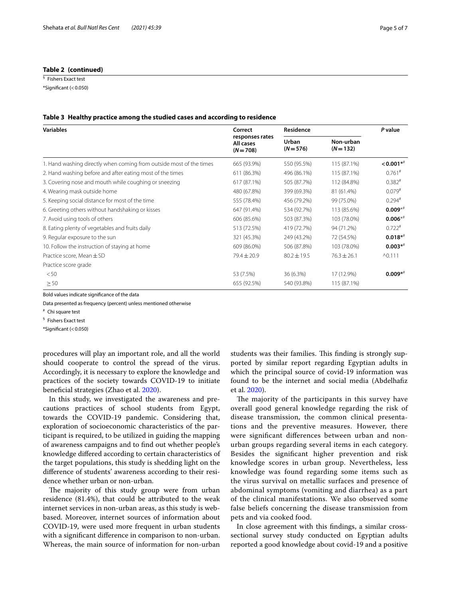# **Table 2 (continued)**

§ Fishers Exact test  $*$ Significant (<0.050)

#### <span id="page-4-0"></span>**Table 3 Healthy practice among the studied cases and according to residence**

| <b>Variables</b>                                                    | Correct<br>responses rates<br>All cases<br>$(N = 708)$ | Residence            |                          | P value                  |
|---------------------------------------------------------------------|--------------------------------------------------------|----------------------|--------------------------|--------------------------|
|                                                                     |                                                        | Urban<br>$(N = 576)$ | Non-urban<br>$(N = 132)$ |                          |
| 1. Hand washing directly when coming from outside most of the times | 665 (93.9%)                                            | 550 (95.5%)          | 115 (87.1%)              | $< 0.001$ * <sup>#</sup> |
| 2. Hand washing before and after eating most of the times           | 611 (86.3%)                                            | 496 (86.1%)          | 115 (87.1%)              | $0.761$ <sup>#</sup>     |
| 3. Covering nose and mouth while coughing or sneezing               | 617 (87.1%)                                            | 505 (87.7%)          | 112 (84.8%)              | $0.382$ #                |
| 4. Wearing mask outside home                                        | 480 (67.8%)                                            | 399 (69.3%)          | 81 (61.4%)               | $0.079$ <sup>#</sup>     |
| 5. Keeping social distance for most of the time                     | 555 (78.4%)                                            | 456 (79.2%)          | 99 (75.0%)               | $0.294$ #                |
| 6. Greeting others without handshaking or kisses                    | 647 (91.4%)                                            | 534 (92.7%)          | 113 (85.6%)              | $0.009**$                |
| 7. Avoid using tools of others                                      | 606 (85.6%)                                            | 503 (87.3%)          | 103 (78.0%)              | $0.006**$                |
| 8. Eating plenty of vegetables and fruits daily                     | 513 (72.5%)                                            | 419 (72.7%)          | 94 (71.2%)               | $0.722$ <sup>#</sup>     |
| 9. Regular exposure to the sun                                      | 321 (45.3%)                                            | 249 (43.2%)          | 72 (54.5%)               | $0.018**$                |
| 10. Follow the instruction of staying at home                       | 609 (86.0%)                                            | 506 (87.8%)          | 103 (78.0%)              | $0.003**$                |
| Practice score, Mean $\pm$ SD                                       | $79.4 \pm 20.9$                                        | $80.2 \pm 19.5$      | $76.3 \pm 26.1$          | $^{\wedge}0.111$         |
| Practice score grade                                                |                                                        |                      |                          |                          |
| < 50                                                                | 53 (7.5%)                                              | 36 (6.3%)            | 17 (12.9%)               | $0.009**$                |
| $\geq 50$                                                           | 655 (92.5%)                                            | 540 (93.8%)          | 115 (87.1%)              |                          |

Bold values indicate signifcance of the data

Data presented as frequency (percent) unless mentioned otherwise

# Chi square test

§ Fishers Exact test

 $*$ Significant (<0.050)

procedures will play an important role, and all the world should cooperate to control the spread of the virus. Accordingly, it is necessary to explore the knowledge and practices of the society towards COVID-19 to initiate benefcial strategies (Zhao et al. [2020](#page-6-18)).

In this study, we investigated the awareness and precautions practices of school students from Egypt, towards the COVID-19 pandemic. Considering that, exploration of socioeconomic characteristics of the participant is required, to be utilized in guiding the mapping of awareness campaigns and to fnd out whether people's knowledge difered according to certain characteristics of the target populations, this study is shedding light on the diference of students' awareness according to their residence whether urban or non-urban.

The majority of this study group were from urban residence (81.4%), that could be attributed to the weak internet services in non-urban areas, as this study is webbased. Moreover, internet sources of information about COVID-19, were used more frequent in urban students with a signifcant diference in comparison to non-urban. Whereas, the main source of information for non-urban students was their families. This finding is strongly supported by similar report regarding Egyptian adults in which the principal source of covid-19 information was found to be the internet and social media (Abdelhafz et al. [2020](#page-6-15)).

The majority of the participants in this survey have overall good general knowledge regarding the risk of disease transmission, the common clinical presentations and the preventive measures. However, there were signifcant diferences between urban and nonurban groups regarding several items in each category. Besides the signifcant higher prevention and risk knowledge scores in urban group. Nevertheless, less knowledge was found regarding some items such as the virus survival on metallic surfaces and presence of abdominal symptoms (vomiting and diarrhea) as a part of the clinical manifestations. We also observed some false beliefs concerning the disease transmission from pets and via cooked food.

In close agreement with this fndings, a similar crosssectional survey study conducted on Egyptian adults reported a good knowledge about covid-19 and a positive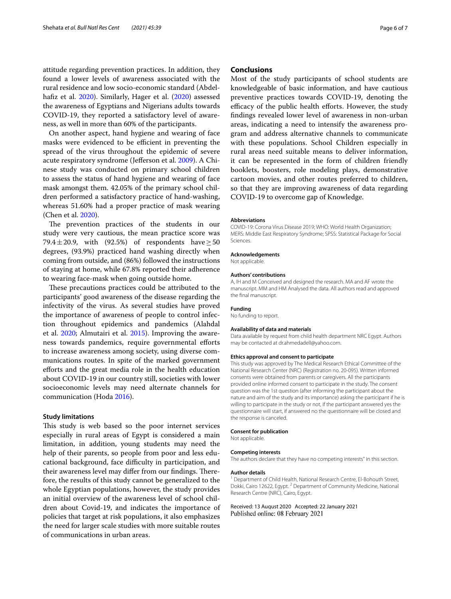attitude regarding prevention practices. In addition, they found a lower levels of awareness associated with the rural residence and low socio-economic standard (Abdel-hafiz et al. [2020\)](#page-6-19). Similarly, Hager et al. (2020) assessed the awareness of Egyptians and Nigerians adults towards COVID-19, they reported a satisfactory level of awareness, as well in more than 60% of the participants.

On another aspect, hand hygiene and wearing of face masks were evidenced to be efficient in preventing the spread of the virus throughout the epidemic of severe acute respiratory syndrome (Jefferson et al. [2009\)](#page-6-20). A Chinese study was conducted on primary school children to assess the status of hand hygiene and wearing of face mask amongst them. 42.05% of the primary school children performed a satisfactory practice of hand-washing, whereas 51.60% had a proper practice of mask wearing (Chen et al. [2020\)](#page-6-21).

The prevention practices of the students in our study were very cautious, the mean practice score was 79.4 $\pm$ 20.9, with (92.5%) of respondents have  $\geq$  50 degrees, (93.9%) practiced hand washing directly when coming from outside, and (86%) followed the instructions of staying at home, while 67.8% reported their adherence to wearing face-mask when going outside home.

These precautions practices could be attributed to the participants' good awareness of the disease regarding the infectivity of the virus. As several studies have proved the importance of awareness of people to control infection throughout epidemics and pandemics (Alahdal et al. [2020;](#page-6-10) Almutairi et al. [2015\)](#page-6-22). Improving the awareness towards pandemics, require governmental eforts to increase awareness among society, using diverse communications routes. In spite of the marked government eforts and the great media role in the health education about COVID-19 in our country still, societies with lower socioeconomic levels may need alternate channels for communication (Hoda [2016](#page-6-23)).

## **Study limitations**

This study is web based so the poor internet services especially in rural areas of Egypt is considered a main limitation, in addition, young students may need the help of their parents, so people from poor and less educational background, face difficulty in participation, and their awareness level may differ from our findings. Therefore, the results of this study cannot be generalized to the whole Egyptian populations, however, the study provides an initial overview of the awareness level of school children about Covid-19, and indicates the importance of policies that target at risk populations, it also emphasizes the need for larger scale studies with more suitable routes of communications in urban areas.

# **Conclusions**

Most of the study participants of school students are knowledgeable of basic information, and have cautious preventive practices towards COVID-19, denoting the efficacy of the public health efforts. However, the study fndings revealed lower level of awareness in non-urban areas, indicating a need to intensify the awareness program and address alternative channels to communicate with these populations. School Children especially in rural areas need suitable means to deliver information, it can be represented in the form of children friendly booklets, boosters, role modeling plays, demonstrative cartoon movies, and other routes preferred to children, so that they are improving awareness of data regarding COVID-19 to overcome gap of Knowledge.

#### **Abbreviations**

COVID-19: Corona Virus Disease 2019; WHO: World Health Organization; MERS: Middle East Respiratory Syndrome; SPSS: Statistical Package for Social **Sciences** 

## **Acknowledgements**

Not applicable.

#### **Authors' contributions**

A, IH and M Conceived and designed the research. MA and AF wrote the manuscript. MM and HM Analysed the data. All authors read and approved the fnal manuscript.

### **Funding**

No funding to report.

#### **Availability of data and materials**

Data available by request from child health department NRC Egypt. Authors may be contacted at dr.ahmedadell@yahoo.com.

# **Ethics approval and consent to participate**

This study was approved by The Medical Research Ethical Committee of the National Research Center (NRC) (Registration no. 20-095). Written informed consents were obtained from parents or caregivers. All the participants provided online informed consent to participate in the study. The consent question was the 1st question (after informing the participant about the nature and aim of the study and its importance) asking the participant if he is willing to participate in the study or not, if the participant answered yes the questionnaire will start, if answered no the questionnaire will be closed and the response is canceled.

#### **Consent for publication**

Not applicable.

#### **Competing interests**

The authors declare that they have no competing interests" in this section.

#### **Author details**

<sup>1</sup> Department of Child Health, National Research Centre, El-Bohouth Street, Dokki, Cairo 12622, Egypt.<sup>2</sup> Department of Community Medicine, National Research Centre (NRC), Cairo, Egypt.

Received: 13 August 2020 Accepted: 22 January 2021Published online: 08 February 2021